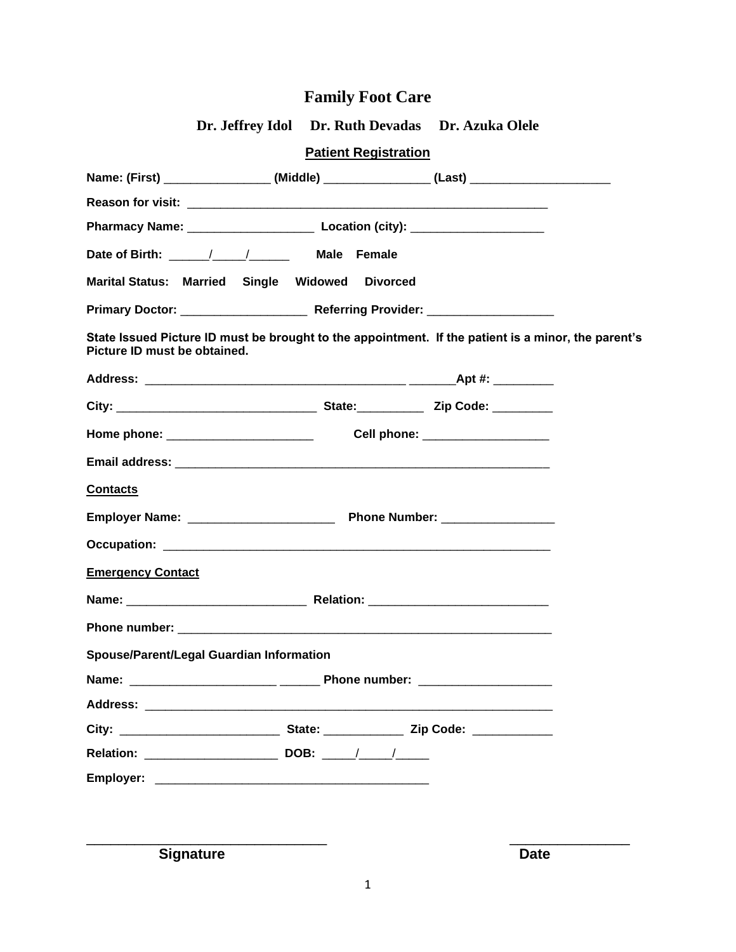| <b>Patient Registration</b><br>Name: (First) ____________________(Middle) _________________(Last) ____________________<br>Date of Birth: \,\gg \,\gg \,\gg \,\gg \,\gg \,\gg \,\gg \,\gg \,\gg \,\gg \,\gg \,\gg \,\gg \,\gg \,\gg \,\gg \,\gg \,\gg \,\gg \,\gg \,\gg \,\gg \,\gg \,\gg \,\gg \,\gg \,\gg \,\gg \,\gg \,\gg \,\gg \,\gg \,\gg \,\gg \,\ |
|----------------------------------------------------------------------------------------------------------------------------------------------------------------------------------------------------------------------------------------------------------------------------------------------------------------------------------------------------------|
|                                                                                                                                                                                                                                                                                                                                                          |
|                                                                                                                                                                                                                                                                                                                                                          |
|                                                                                                                                                                                                                                                                                                                                                          |
|                                                                                                                                                                                                                                                                                                                                                          |
|                                                                                                                                                                                                                                                                                                                                                          |
| Marital Status: Married Single Widowed Divorced                                                                                                                                                                                                                                                                                                          |
|                                                                                                                                                                                                                                                                                                                                                          |
| State Issued Picture ID must be brought to the appointment. If the patient is a minor, the parent's<br>Picture ID must be obtained.                                                                                                                                                                                                                      |
|                                                                                                                                                                                                                                                                                                                                                          |
|                                                                                                                                                                                                                                                                                                                                                          |
| Home phone: _________________________<br>Cell phone: ___________________                                                                                                                                                                                                                                                                                 |
|                                                                                                                                                                                                                                                                                                                                                          |
| <b>Contacts</b>                                                                                                                                                                                                                                                                                                                                          |
|                                                                                                                                                                                                                                                                                                                                                          |
|                                                                                                                                                                                                                                                                                                                                                          |
| <b>Emergency Contact</b>                                                                                                                                                                                                                                                                                                                                 |
|                                                                                                                                                                                                                                                                                                                                                          |
|                                                                                                                                                                                                                                                                                                                                                          |
| Spouse/Parent/Legal Guardian Information                                                                                                                                                                                                                                                                                                                 |
|                                                                                                                                                                                                                                                                                                                                                          |
|                                                                                                                                                                                                                                                                                                                                                          |
|                                                                                                                                                                                                                                                                                                                                                          |
|                                                                                                                                                                                                                                                                                                                                                          |
|                                                                                                                                                                                                                                                                                                                                                          |
|                                                                                                                                                                                                                                                                                                                                                          |
|                                                                                                                                                                                                                                                                                                                                                          |

**Signature** Date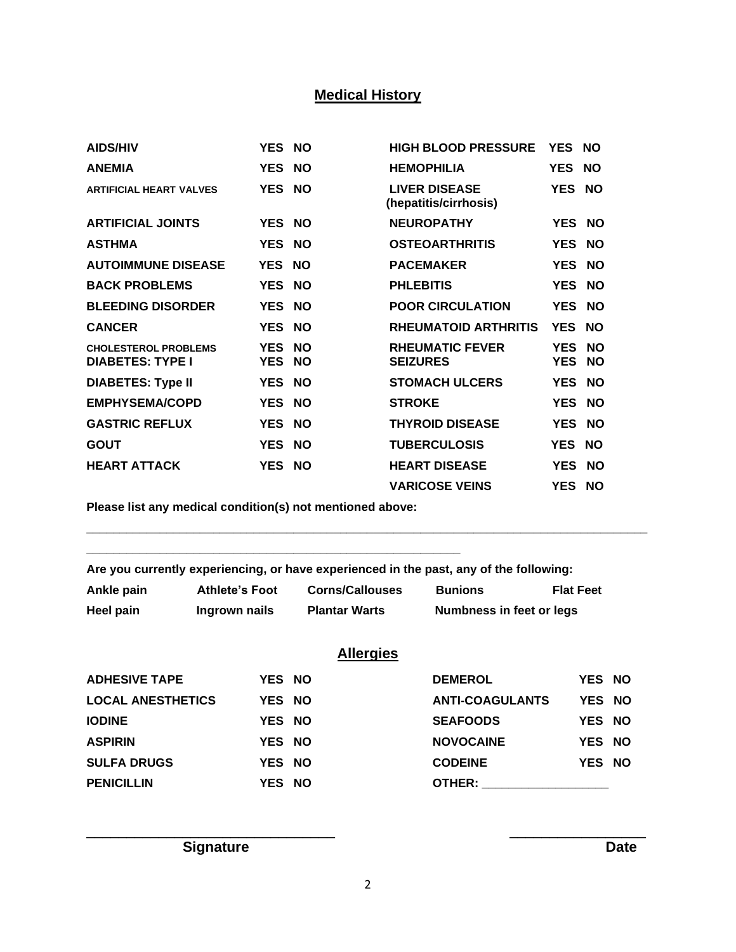# **Medical History**

| <b>AIDS/HIV</b>                                        | YES NO                   |                        | <b>HIGH BLOOD PRESSURE</b>                    | YES NO                   |                        |
|--------------------------------------------------------|--------------------------|------------------------|-----------------------------------------------|--------------------------|------------------------|
| <b>ANEMIA</b>                                          | YES NO                   |                        | <b>HEMOPHILIA</b>                             | YES NO                   |                        |
| <b>ARTIFICIAL HEART VALVES</b>                         | YES NO                   |                        | <b>LIVER DISEASE</b><br>(hepatitis/cirrhosis) | YES NO                   |                        |
| <b>ARTIFICIAL JOINTS</b>                               | YES NO                   |                        | <b>NEUROPATHY</b>                             | YES NO                   |                        |
| <b>ASTHMA</b>                                          | YES NO                   |                        | <b>OSTEOARTHRITIS</b>                         | YES NO                   |                        |
| <b>AUTOIMMUNE DISEASE</b>                              | YES NO                   |                        | <b>PACEMAKER</b>                              | YES NO                   |                        |
| <b>BACK PROBLEMS</b>                                   | YES NO                   |                        | <b>PHLEBITIS</b>                              | YES NO                   |                        |
| <b>BLEEDING DISORDER</b>                               | YES NO                   |                        | <b>POOR CIRCULATION</b>                       | YES NO                   |                        |
| <b>CANCER</b>                                          | YES NO                   |                        | <b>RHEUMATOID ARTHRITIS</b>                   | YES NO                   |                        |
| <b>CHOLESTEROL PROBLEMS</b><br><b>DIABETES: TYPE I</b> | <b>YES</b><br><b>YES</b> | <b>NO</b><br><b>NO</b> | <b>RHEUMATIC FEVER</b><br><b>SEIZURES</b>     | <b>YES</b><br><b>YES</b> | <b>NO</b><br><b>NO</b> |
| <b>DIABETES: Type II</b>                               | YES NO                   |                        | <b>STOMACH ULCERS</b>                         | YES NO                   |                        |
| <b>EMPHYSEMA/COPD</b>                                  | YES NO                   |                        | <b>STROKE</b>                                 | YES NO                   |                        |
| <b>GASTRIC REFLUX</b>                                  | <b>YES</b>               | <b>NO</b>              | <b>THYROID DISEASE</b>                        | <b>YES</b>               | <b>NO</b>              |
| <b>GOUT</b>                                            | <b>YES</b>               | <b>NO</b>              | <b>TUBERCULOSIS</b>                           | <b>YES</b>               | <b>NO</b>              |
| <b>HEART ATTACK</b>                                    | YES NO                   |                        | <b>HEART DISEASE</b>                          | <b>YES</b>               | <b>NO</b>              |
|                                                        |                          |                        | <b>VARICOSE VEINS</b>                         | YES NO                   |                        |

**Please list any medical condition(s) not mentioned above:** 

**\_\_\_\_\_\_\_\_\_\_\_\_\_\_\_\_\_\_\_\_\_\_\_\_\_\_\_\_\_\_\_\_\_\_\_\_\_\_\_\_\_\_\_\_\_\_\_\_\_\_\_\_\_\_\_\_**

**Are you currently experiencing, or have experienced in the past, any of the following:**

| Ankle pain | <b>Athlete's Foot</b> | <b>Corns/Callouses</b> | <b>Bunions</b>           | <b>Flat Feet</b> |
|------------|-----------------------|------------------------|--------------------------|------------------|
| Heel pain  | Ingrown nails         | <b>Plantar Warts</b>   | Numbness in feet or legs |                  |

**\_\_\_\_\_\_\_\_\_\_\_\_\_\_\_\_\_\_\_\_\_\_\_\_\_\_\_\_\_\_\_\_\_\_\_\_\_\_\_\_\_\_\_\_\_\_\_\_\_\_\_\_\_\_\_\_\_\_\_\_\_\_\_\_\_\_\_\_\_\_\_\_\_\_\_\_\_\_\_\_\_\_\_\_**

|                          |        | <b>Allergies</b> |                        |        |  |
|--------------------------|--------|------------------|------------------------|--------|--|
| <b>ADHESIVE TAPE</b>     | YES NO |                  | <b>DEMEROL</b>         | YES NO |  |
| <b>LOCAL ANESTHETICS</b> | YES NO |                  | <b>ANTI-COAGULANTS</b> | YES NO |  |
| <b>IODINE</b>            | YES NO |                  | <b>SEAFOODS</b>        | YES NO |  |
| <b>ASPIRIN</b>           | YES NO |                  | <b>NOVOCAINE</b>       | YES NO |  |
| <b>SULFA DRUGS</b>       | YES NO |                  | <b>CODEINE</b>         | YES NO |  |
| <b>PENICILLIN</b>        | YES NO |                  | OTHER:                 |        |  |

**Signature Date** 

\_\_\_\_\_\_\_\_\_\_\_\_\_\_\_\_\_\_\_\_\_\_\_\_\_\_\_\_\_\_\_ \_\_\_\_\_\_\_\_\_\_\_\_\_\_\_\_\_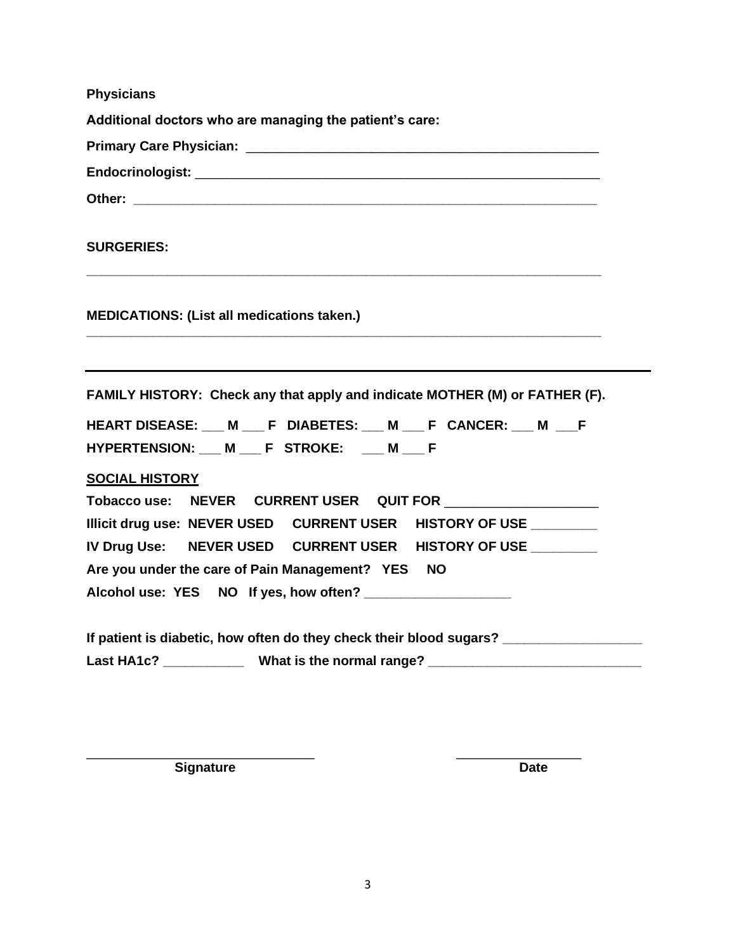**Physicians**

**Additional doctors who are managing the patient's care:**

**Primary Care Physician:** \_\_\_\_\_\_\_\_\_\_\_\_\_\_\_\_\_\_\_\_\_\_\_\_\_\_\_\_\_\_\_\_\_\_\_\_\_\_\_\_\_\_\_\_\_\_\_\_

**Endocrinologist:** \_\_\_\_\_\_\_\_\_\_\_\_\_\_\_\_\_\_\_\_\_\_\_\_\_\_\_\_\_\_\_\_\_\_\_\_\_\_\_\_\_\_\_\_\_\_\_\_\_\_\_\_\_\_\_

Other:

**SURGERIES:** 

**MEDICATIONS: (List all medications taken.)** 

**FAMILY HISTORY: Check any that apply and indicate MOTHER (M) or FATHER (F).**

**\_\_\_\_\_\_\_\_\_\_\_\_\_\_\_\_\_\_\_\_\_\_\_\_\_\_\_\_\_\_\_\_\_\_\_\_\_\_\_\_\_\_\_\_\_\_\_\_\_\_\_\_\_\_\_\_\_\_\_\_\_\_\_\_\_\_\_\_\_\_**

**\_\_\_\_\_\_\_\_\_\_\_\_\_\_\_\_\_\_\_\_\_\_\_\_\_\_\_\_\_\_\_\_\_\_\_\_\_\_\_\_\_\_\_\_\_\_\_\_\_\_\_\_\_\_\_\_\_\_\_\_\_\_\_\_\_\_\_\_\_\_**

**HEART DISEASE: \_\_\_ M \_\_\_ F DIABETES: \_\_\_ M \_\_\_ F CANCER: \_\_\_ M \_\_\_F HYPERTENSION: \_\_\_ M \_\_\_ F STROKE: \_\_\_ M \_\_\_ F** 

### **SOCIAL HISTORY**

|  |                                                   | IV Drug Use:    NEVER USED    CURRENT USER    HISTORY OF USE |  |
|--|---------------------------------------------------|--------------------------------------------------------------|--|
|  | Are you under the care of Pain Management? YES NO |                                                              |  |
|  | Alcohol use: YES NO If yes, how often?            |                                                              |  |

|            | If patient is diabetic, how often do they check their blood sugars? |
|------------|---------------------------------------------------------------------|
| Last HA1c? | What is the normal range?                                           |

\_\_\_\_\_\_\_\_\_\_\_\_\_\_\_\_\_\_\_\_\_\_\_\_\_\_\_\_\_\_\_ \_\_\_\_\_\_\_\_\_\_\_\_\_\_\_\_\_ **Signature Date**